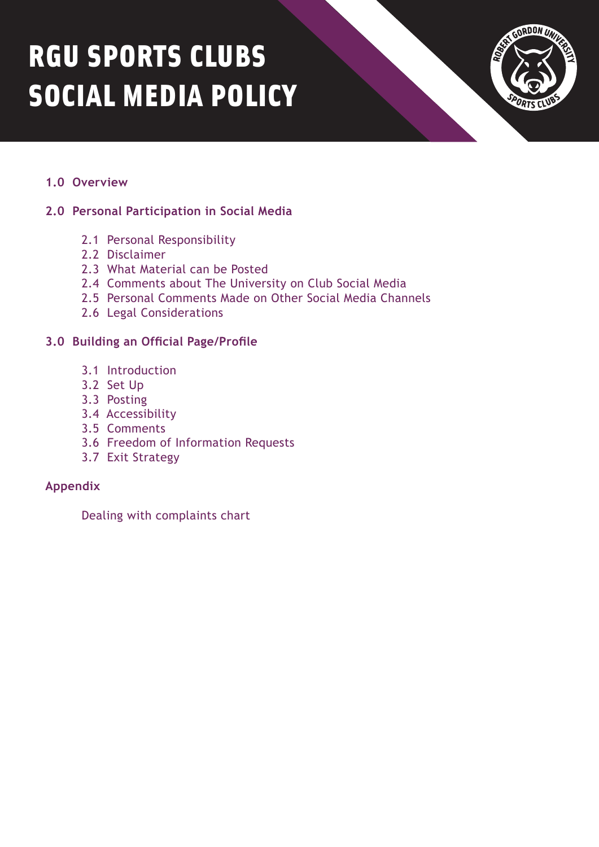# RGU SPORTS CLUBS SOCIAL MEDIA POLICY



# **1.0 Overview**

# **2.0 Personal Participation in Social Media**

- 2.1 Personal Responsibility
- 2.2 Disclaimer
- 2.3 What Material can be Posted
- 2.4 Comments about The University on Club Social Media
- 2.5 Personal Comments Made on Other Social Media Channels
- 2.6 Legal Considerations

# **3.0 Building an Official Page/Profile**

- 3.1 Introduction
- 3.2 Set Up
- 3.3 Posting
- 3.4 Accessibility
- 3.5 Comments
- 3.6 Freedom of Information Requests
- 3.7 Exit Strategy

### **Appendix**

Dealing with complaints chart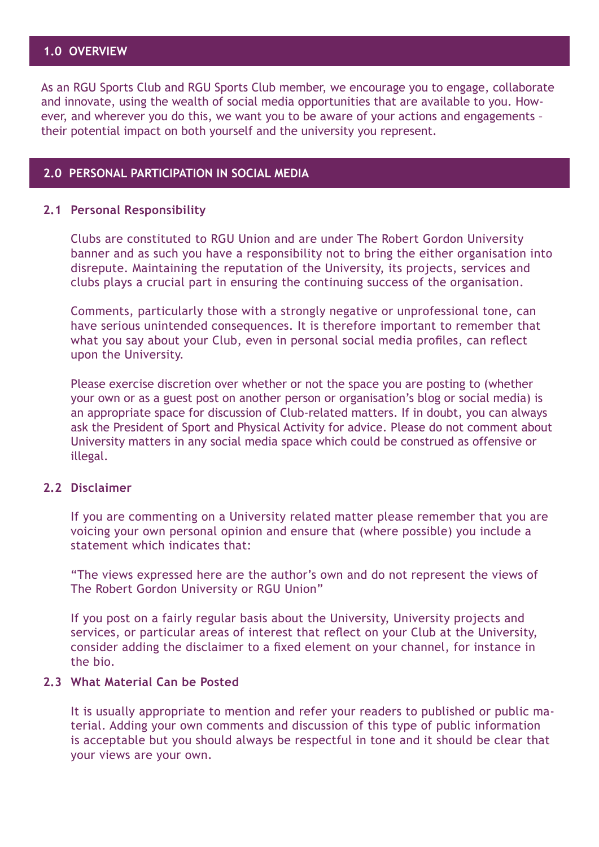# **1.0 OVERVIEW**

As an RGU Sports Club and RGU Sports Club member, we encourage you to engage, collaborate and innovate, using the wealth of social media opportunities that are available to you. However, and wherever you do this, we want you to be aware of your actions and engagements – their potential impact on both yourself and the university you represent.

#### **2.0 PERSONAL PARTICIPATION IN SOCIAL MEDIA**

#### **2.1 Personal Responsibility**

Clubs are constituted to RGU Union and are under The Robert Gordon University banner and as such you have a responsibility not to bring the either organisation into disrepute. Maintaining the reputation of the University, its projects, services and clubs plays a crucial part in ensuring the continuing success of the organisation.

Comments, particularly those with a strongly negative or unprofessional tone, can have serious unintended consequences. It is therefore important to remember that what you say about your Club, even in personal social media profiles, can reflect upon the University.

Please exercise discretion over whether or not the space you are posting to (whether your own or as a guest post on another person or organisation's blog or social media) is an appropriate space for discussion of Club-related matters. If in doubt, you can always ask the President of Sport and Physical Activity for advice. Please do not comment about University matters in any social media space which could be construed as offensive or illegal.

### **2.2 Disclaimer**

If you are commenting on a University related matter please remember that you are voicing your own personal opinion and ensure that (where possible) you include a statement which indicates that:

"The views expressed here are the author's own and do not represent the views of The Robert Gordon University or RGU Union"

If you post on a fairly regular basis about the University, University projects and services, or particular areas of interest that reflect on your Club at the University, consider adding the disclaimer to a fixed element on your channel, for instance in the bio.

#### **2.3 What Material Can be Posted**

It is usually appropriate to mention and refer your readers to published or public material. Adding your own comments and discussion of this type of public information is acceptable but you should always be respectful in tone and it should be clear that your views are your own.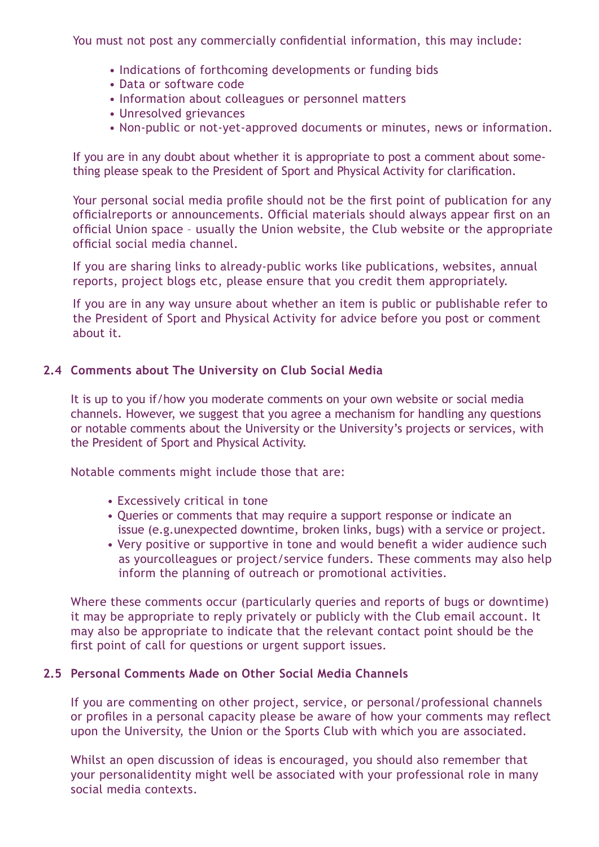You must not post any commercially confidential information, this may include:

- Indications of forthcoming developments or funding bids
- Data or software code
- Information about colleagues or personnel matters
- Unresolved grievances
- Non-public or not-yet-approved documents or minutes, news or information.

If you are in any doubt about whether it is appropriate to post a comment about something please speak to the President of Sport and Physical Activity for clarification.

Your personal social media profile should not be the first point of publication for any officialreports or announcements. Official materials should always appear first on an official Union space – usually the Union website, the Club website or the appropriate official social media channel.

If you are sharing links to already-public works like publications, websites, annual reports, project blogs etc, please ensure that you credit them appropriately.

If you are in any way unsure about whether an item is public or publishable refer to the President of Sport and Physical Activity for advice before you post or comment about it.

# **2.4 Comments about The University on Club Social Media**

It is up to you if/how you moderate comments on your own website or social media channels. However, we suggest that you agree a mechanism for handling any questions or notable comments about the University or the University's projects or services, with the President of Sport and Physical Activity.

Notable comments might include those that are:

- Excessively critical in tone
- Queries or comments that may require a support response or indicate an issue (e.g.unexpected downtime, broken links, bugs) with a service or project.
- Very positive or supportive in tone and would benefit a wider audience such as yourcolleagues or project/service funders. These comments may also help inform the planning of outreach or promotional activities.

Where these comments occur (particularly queries and reports of bugs or downtime) it may be appropriate to reply privately or publicly with the Club email account. It may also be appropriate to indicate that the relevant contact point should be the first point of call for questions or urgent support issues.

### **2.5 Personal Comments Made on Other Social Media Channels**

If you are commenting on other project, service, or personal/professional channels or profiles in a personal capacity please be aware of how your comments may reflect upon the University, the Union or the Sports Club with which you are associated.

Whilst an open discussion of ideas is encouraged, you should also remember that your personalidentity might well be associated with your professional role in many social media contexts.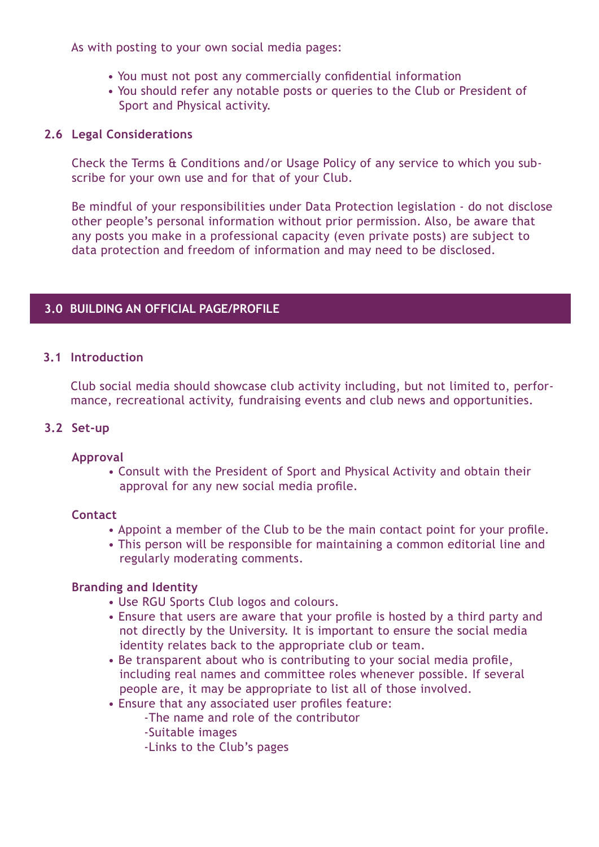As with posting to your own social media pages:

- You must not post any commercially confidential information
- You should refer any notable posts or queries to the Club or President of Sport and Physical activity.

### **2.6 Legal Considerations**

Check the Terms & Conditions and/or Usage Policy of any service to which you subscribe for your own use and for that of your Club.

Be mindful of your responsibilities under Data Protection legislation - do not disclose other people's personal information without prior permission. Also, be aware that any posts you make in a professional capacity (even private posts) are subject to data protection and freedom of information and may need to be disclosed.

## **3.0 BUILDING AN OFFICIAL PAGE/PROFILE**

#### **3.1 Introduction**

Club social media should showcase club activity including, but not limited to, performance, recreational activity, fundraising events and club news and opportunities.

#### **3.2 Set-up**

#### **Approval**

• Consult with the President of Sport and Physical Activity and obtain their approval for any new social media profile.

#### **Contact**

- Appoint a member of the Club to be the main contact point for your profile.
- This person will be responsible for maintaining a common editorial line and regularly moderating comments.

#### **Branding and Identity**

- Use RGU Sports Club logos and colours.
- Ensure that users are aware that your profile is hosted by a third party and not directly by the University. It is important to ensure the social media identity relates back to the appropriate club or team.
- Be transparent about who is contributing to your social media profile, including real names and committee roles whenever possible. If several people are, it may be appropriate to list all of those involved.
- Ensure that any associated user profiles feature:
	- -The name and role of the contributor
		- -Suitable images
		- -Links to the Club's pages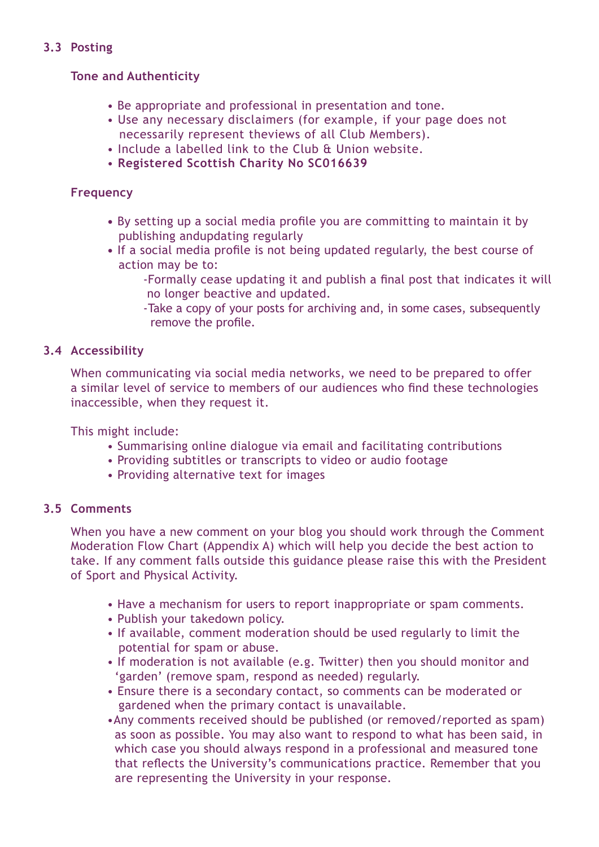# **3.3 Posting**

# **Tone and Authenticity**

- Be appropriate and professional in presentation and tone.
- Use any necessary disclaimers (for example, if your page does not necessarily represent theviews of all Club Members).
- Include a labelled link to the Club & Union website.
- **Registered Scottish Charity No SC016639**

# **Frequency**

- By setting up a social media profile you are committing to maintain it by publishing andupdating regularly
- **•** If a social media profile is not being updated regularly, the best course of action may be to:
	- -Formally cease updating it and publish a final post that indicates it will no longer beactive and updated.
		- -Take a copy of your posts for archiving and, in some cases, subsequently remove the profile.

## **3.4 Accessibility**

When communicating via social media networks, we need to be prepared to offer a similar level of service to members of our audiences who find these technologies inaccessible, when they request it.

This might include:

- Summarising online dialogue via email and facilitating contributions
- Providing subtitles or transcripts to video or audio footage
- Providing alternative text for images

### **3.5 Comments**

When you have a new comment on your blog you should work through the Comment Moderation Flow Chart (Appendix A) which will help you decide the best action to take. If any comment falls outside this guidance please raise this with the President of Sport and Physical Activity.

- Have a mechanism for users to report inappropriate or spam comments.
- Publish your takedown policy.
- If available, comment moderation should be used regularly to limit the potential for spam or abuse.
- If moderation is not available (e.g. Twitter) then you should monitor and 'garden' (remove spam, respond as needed) regularly.
- Ensure there is a secondary contact, so comments can be moderated or gardened when the primary contact is unavailable.
- •Any comments received should be published (or removed/reported as spam) as soon as possible. You may also want to respond to what has been said, in which case you should always respond in a professional and measured tone that reflects the University's communications practice. Remember that you are representing the University in your response.